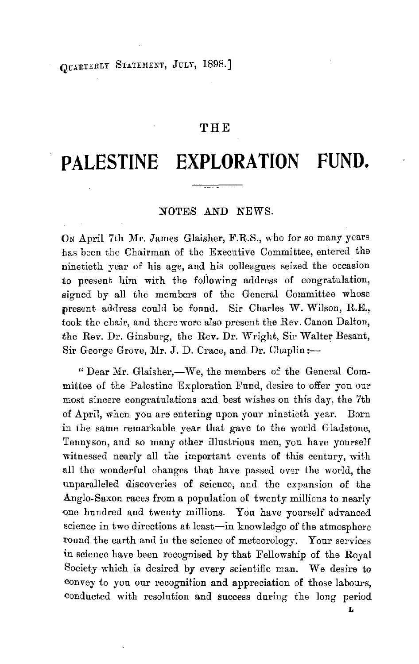OUARTERLY STATEMENT, JULY, 1898.]

## **THE**

# **PALESTINE EXPLORATION FUND.**

#### NOTES AND NEWS.

ON April 7th Mr. James Glaisher, F.R.S., who for so many years has been the Chairman of the Executive Committee, entered the ninetieth year of his age, and his colleagues seized the occasion to present him with the following address of congratulation, signed by all the members of the General Committee whose present address couJd be found. Sir Charles W. Wilson, R.E., took the chair, and there were also present the Rev. Canon Dalton, the Rev. Dr. Ginsburg, the Rev. Dr. Wright, Sir Walter Besant, Sir George Grove, Mr. J. D. Crace, and Dr. Chaplin:-

" Dear Mr. Glaisher,—We, the members of the General Committee of the Palestine Exploration Fund, desire to offer you our most sincere congratulations and best wishes on this day, the 7th of April, when you are entering upon your ninetieth year. Dorn in the same remarkable year that gave to the world Gladstone, Tennyson, and so many other illustrious men, you have yourself witnessed nearly all the important events of this century, with all the wonderful changes that have passed over the world, the unparalleled discoveries of science, and the expansion of the Anglo-Saxon races from a population of twenty millions to nearly one hundred and twenty millions. You have yourself advanced science in two directions at least-in knowledge of the atmosphere round the earth and in the science of meteorology. Your services in science have been recognised by that Fellowship of the Royal Society which is desired by every scientific man. We desire to convey to you our recognition and appreciation of those labours, conducted with resolution and success during the long period

**L**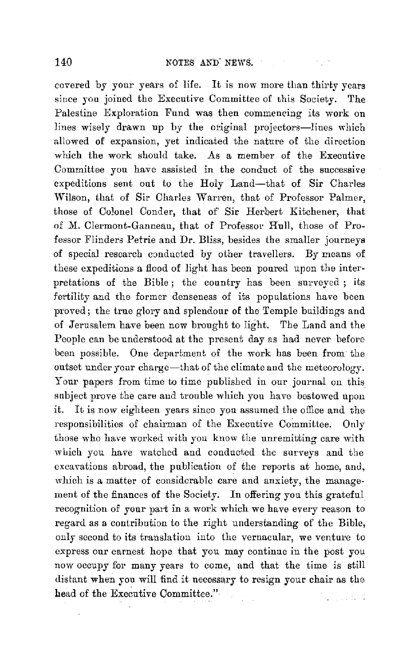covered by your years of life. It is now more than thirty years since you joined the Executive Committee of this Society. The Palestine Exploration Fund was then commencing its work on lines wisely drawn up by the original projectors-lines which allowed of expansion, yet indicated the nature of the direction which the work should take. As a member of the Executive Committee you have assisted in the conduct of the successive expeditions sent out to the Holy Land-that of Sir Charles Wilson, that of Sir Charles Warren, that of Professor Palmer, those of Colonel Conder, that of Sir Herbert Kitchener, that of M. Clermont-Ganneau, that of Professor Hull, those of Professor Flinders Petrie and Dr. Bliss, besides the smaller journeys of special research conducted by other travellers. By means of these expeditions a flood of light has been poured upon the interpretations of the Bible; the country has been surveyed ; its fertility and the former denseness of its populations have been proved; the true glory and splendour of the Temple buildings and of Jerusalem have been now brought to light. The Land and the People can be understood at the present day as had never before been possible. One department of the work has been from the outset under your charge-that of the climate and the meteorology. Your papers from time to time published in our journal on this. subject prove the care and trouble which you have bestowed upon it. It is *now* eighteen years since you assumed the office and the responsibilities of chairman of the Executive Committee. Only those who have worked with you know the unremitting care with which you have watched and conducted the surveys and the excavations abroad, the publication of the reports at home, and, which is a matter of considerable care and anxiety, the management of the finances of the Society. In offering you this grateful recognition of your part in a work which we have every reason to regard as a contribution to the right understanding of the Bible, only second to its translation into the vernacular, we venture to express our earnest hope that you may continue in the post you now occupy for many years to come, and that the time is still distant when you will find it necessary to resign your chair as the head of the Executive Committee." ul bro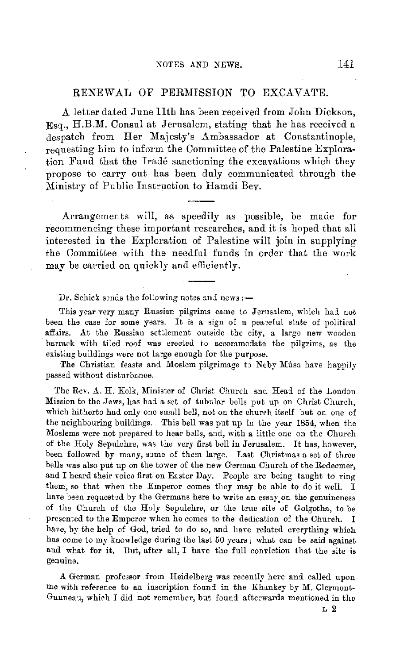### RENEW AL OF PERMISSION TO EXCAVATE.

A letter dated June 11th has been received from John Dickson.  $Esq.$ , H.B.M. Consul at Jerusalem, stating that he has received a despatch from Her Majesty's Ambassador at Constantinople, requesting him to inform the Committee of the Palestine Exploration Fund that the Iradé sanctioning the excavations which they propose to carry ont has been duly communicated through the :Ministry of Public Instruction to Hamdi Bev .

.Arrangements will, as speedily as possible, be made for recommencing these important researches, and it is hoped that all interested in the Exploration of Palestine will join in supplying the Committee with the needful funds in order that the work may be carried on quickly and efficiently.

Dr. Schick sends the following notes and news: $-$ 

This year very many Russian pilgrims came to Jerusalem, which had not been the case for some years. It is a sign of a peaceful state of political affairs. At the Russian settlement outside the city, a large new wooden barrack with tiled roof was erected to accommodate the pilgrims, as the existing buildings were not large enough for the purpose.

The Christian feasts and Moslem pilgrimage to Neby Mûsa have happily passed without disturbance.

The Rev. A. H. Kelk, Minister of Christ Church and Head of the London Mission to the Jews, has had a set of tubular bells put up on Christ Church, which hitherto had only one small bell, not on the church itself but on one of the neighbouring buildings. This bell was put up in the year 1854, when the Moslems were not prepared to hear bells, and, with a little one on the Church of the Holy Sepulchre, was the very first bell in Jerusalem. It has, however, been followed by many, some of them large. Last Christmas a set of three bells was also put up on the tower of the new German Church of the Redeemer, and I heard their voice first on Easter Day. People arc being taught to ring them, so that when the Emperor comes they may be able to do it well. I have been requested by the Germans here to write an essay on the genuineness of the Church of the Holy Sepulchre, or the true site of Golgotha, to be presented to the Emperor when he comes to the dedication of the Church. I have, by the help of God, tried to do so, and have related everything which has come to my knowledge during the last 50 years; what can be said against and what for it. But, after all, I have the full conviction that the site is genuine.

A. German professor from Heidelberg was recently here and called upon me with reference to an inscription found in the Khankey by M. Clermont-Ganneau, which I did not remember, but found aftcrwards mentioned in the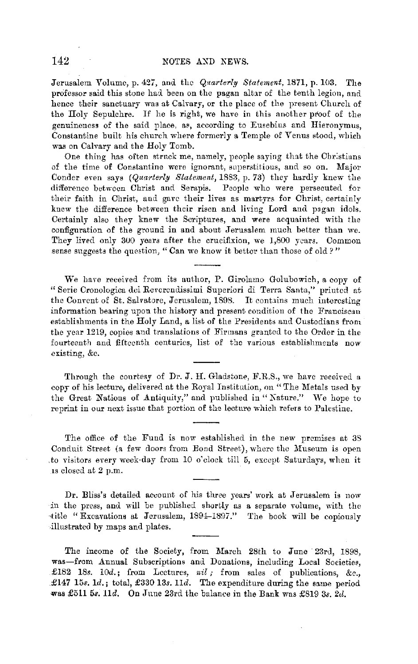Jerusalem Volume, p. 427, and the *Quarterly Statement,* 1871, p. 103. The professor said this stone had been on the pagan altar of the tenth legion, and hence their sanctuary was at Calvary, or the place of the present Church of the Holy Sepulchre. If he is right, we have in this another proof of the genuineness of the said place, as, according to Eusebius and Hieronymus, Constantine built his church where formerly a Temple of Venus stood, which was on Calvary and the Holy Tomb.

One thing has often strnck me, namely, people saying that the Chr:stiuns of the time of Constantine were ignorant, snperstitious, and so on. Major Conder even says *(Quarterly Statement,* 18S3, p. **73)** they hardly knew the difference between Christ and Serapis. People who were persecuted for their faith in Christ, and gave their lives as martyrs for Christ, certainly knew the difference between their risen and living Lord and pagan idols. Certainly also they knew the Scriptures, and were acquainted with the configuration of the ground in and about Jerusalem much better than we. They lived only 300 years after the crucifixion, we 1,800 years. Common sense suggests the question, "Can we know it better than those of old?"

We have received from its author, P. Girolamo Golubowich, a copy of "Serie Cronologica dci Reverendissimi Superiori di Terra Santa," printed at the Convent of St. Salvatore, Jerusalem, 1898. It contains much interesting information bearing upon the history and present condition of the Franciscan establishments in the Holy Land, a list of the Presidents and Custodians from the year 1219, copies and kanslations of Firmans granted to the Order in the fourteenth and fifteenth centuries, list of the various establishments now existing, &c.

Through the courtesy of Dr. J. H. Gladstone, F.R.S., we have received a copy of his lecture, delivered ut the Royal Institution, on "The Metals used by the Great Nations of Antiquity," and published in "Nature." We hope to reprint in onr next issue that portion of the lecture which refers to Palestine.

The office of the Fund is now established in the new premises at 38 Conduit Street (a few doors from Bond Street), where the Museum is open .to visitors every week-day from 10 o"clock till 5, except Satnrdays, when it 1s closed at 2 p.m.

Dr. Bliss's detailed account of his three years' work at Jerusalem is now :in the press, and will be published shortly as a separate volume, with the --title "Excavations at Jerusalem, 1894-1897." The book will be copiously illustrated by maps and plates.

The income of the Society, from March 28th to June 23rd, 1898, was-from Annual Subscriptions and Donations, including Local Societies, £182 18s. *10d.;* from Lectures, *nil* ; from sales of publications, &c., **.£147** 15s. *ld.;* total, £330 13s. lld. The expenditure during the same period was £511 5s. lld. On June 23rd the balance in the Bank was £819 3s. *2d.*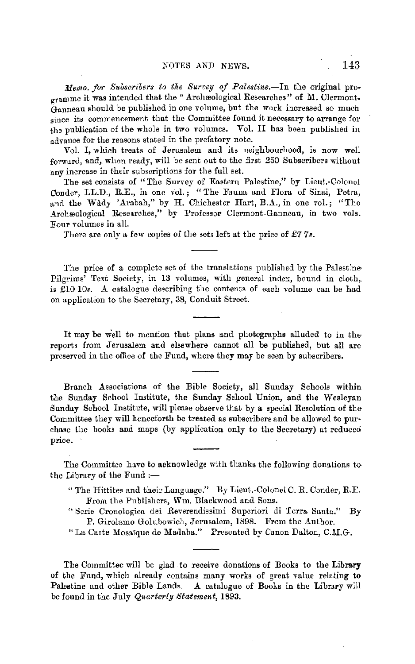*Memo. for Subscribers to the Survey of Palestine.*--In the original programme it was intended that the "Archæological Researches" of M. Clermont. Ganneau should be published in one volume, but the work increased so much since its commencement that the Committee found it necessary to arrange for the publication of the whole in two volumes. Vol. II has been published in advance for the reasons stated in the prefatory note.

Vol. I, which treats of Jerusalem and its neighbourhood, is now well forward, and, when ready, will be sent out to the first 250 Subscribers without any increase in their subscriptions for the full set.

The set consists of "The Survey of Eastern Palestine," by Lieut.-Colonel Conder, LL.D., R.E., in one vol.; "The Fauna and Flora of Sinai, Petra, and the Wady 'Arabah," by H. Chichester Hart, B.A., in one vol.; "The Archæological Researches," by Professor Clermont-Ganncau, in two vols. Four volumes in all.

There are only a few copies of the sets left at the price of  $\pounds 77$ s.

The price of a complete set of the translations published by the Palest:ne-Pilgrims' Text Society, in 13 volumes, with general index, bound in cloth, is  $£1010s$ . A catalogue describing the contents of each volume can be had on application to the Secretary, 38, Conduit Street.

It may be well to mention that plans and photographs alluded to in thereports from Jerusalem and elsewhere cannot all be published, but all are preserved in the office of the Fund, where they may be seen by subscribers.

Branch Associations of the Bible Society, all Sunday Schools within the Sunday School Institute, the Sunday School Union, and the Wesleyan Sunday School Institute, will please observe that by a special Resolution of the Committee they will henceforth be treated as subscribers and be allowed to purchase the books and maps (by application only to the Secretary) at reduced price.

The Committee have to acknowledge with thanks the following donations to the Library of the Fund  $:$ --

- " The Hittites and their Language." By Lieut.-Colonel C.R. Conder, R.E. From the Publishers, Wm. Blackwood and Sons.
- "Serie Cronologica dei Reverendissimi Superiori di Terra Santa." By P. Girolamo Golubowich, Jerusalem, 1898. From the Author.
- "La Carte Mosaïque de Madaba." Presented by Canon Dalton, C.M.G.

The Committee **will** be glad to receive donations of Books to the **Library**  of the Fund, which already contains many works of great value relating **to**  Palestine and other Bible Lands. A catalogue of Books in the Library will be found in the July *Quarterly Statement,* 1893.